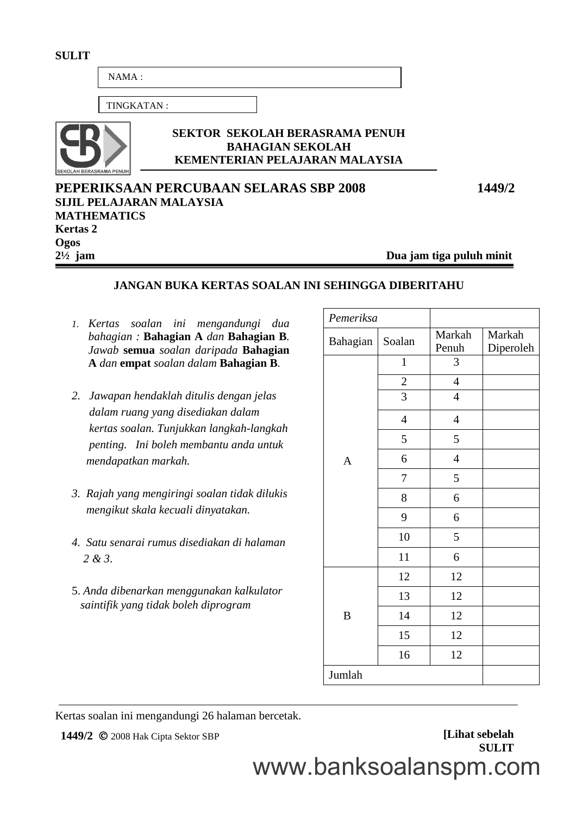| $NAMA$ :                                              |                                                                                                    |                          |
|-------------------------------------------------------|----------------------------------------------------------------------------------------------------|--------------------------|
| TINGKATAN:                                            |                                                                                                    |                          |
| SEKOLAH BERASRAMA PENUH                               | <b>SEKTOR SEKOLAH BERASRAMA PENUH</b><br><b>BAHAGIAN SEKOLAH</b><br>KEMENTERIAN PELAJARAN MALAYSIA |                          |
| <b>SIJIL PELAJARAN MALAYSIA</b><br><b>MATHEMATICS</b> | PEPERIKSAAN PERCUBAAN SELARAS SBP 2008                                                             | 1449/2                   |
| <b>Kertas 2</b>                                       |                                                                                                    |                          |
| Ogos                                                  |                                                                                                    |                          |
| $2\frac{1}{2}$ jam                                    |                                                                                                    | Dua jam tiga puluh minit |
|                                                       | <b>JANGAN BUKA KERTAS SOALAN INI SEHINGGA DIBERITAHU</b>                                           |                          |

*1. Kertas soalan ini mengandungi dua bahagian :* **Bahagian A** *dan* **Bahagian B***. Jawab* **semua** *soalan daripada* **Bahagian A** *dan* **empat** *soalan dalam* **Bahagian B***.*

**SULIT**

- *2. Jawapan hendaklah ditulis dengan jelas dalam ruang yang disediakan dalam kertas soalan. Tunjukkan langkah-langkah penting. Ini boleh membantu anda untuk mendapatkan markah.*
- *3. Rajah yang mengiringi soalan tidak dilukis mengikut skala kecuali dinyatakan.*
- *4. Satu senarai rumus disediakan di halaman 2 & 3*.
- 5. *Anda dibenarkan menggunakan kalkulator saintifik yang tidak boleh diprogram*

| Pemeriksa      |                |                 |                     |
|----------------|----------------|-----------------|---------------------|
| Bahagian       | Soalan         | Markah<br>Penuh | Markah<br>Diperoleh |
|                | $\mathbf{1}$   | 3               |                     |
|                | $\overline{c}$ | $\overline{4}$  |                     |
|                | $\overline{3}$ | $\overline{4}$  |                     |
|                | $\overline{4}$ | $\overline{4}$  |                     |
|                | 5              | 5               |                     |
| $\overline{A}$ | 6              | $\overline{4}$  |                     |
|                | 7              | 5               |                     |
|                | 8              | 6               |                     |
|                | 9              | 6               |                     |
|                | 10             | 5               |                     |
|                | 11             | 6               |                     |
|                | 12             | 12              |                     |
|                | 13             | 12              |                     |
| $\, {\bf B}$   | 14             | 12              |                     |
|                | 15             | 12              |                     |
|                | 16             | 12              |                     |
| Jumlah         |                |                 |                     |

Kertas soalan ini mengandungi 26 halaman bercetak.

**1449/2**  $\oslash$  2008 Hak Cipta Sektor SBP **[Lihat sebelah SULIT** www.banksoalanspm.com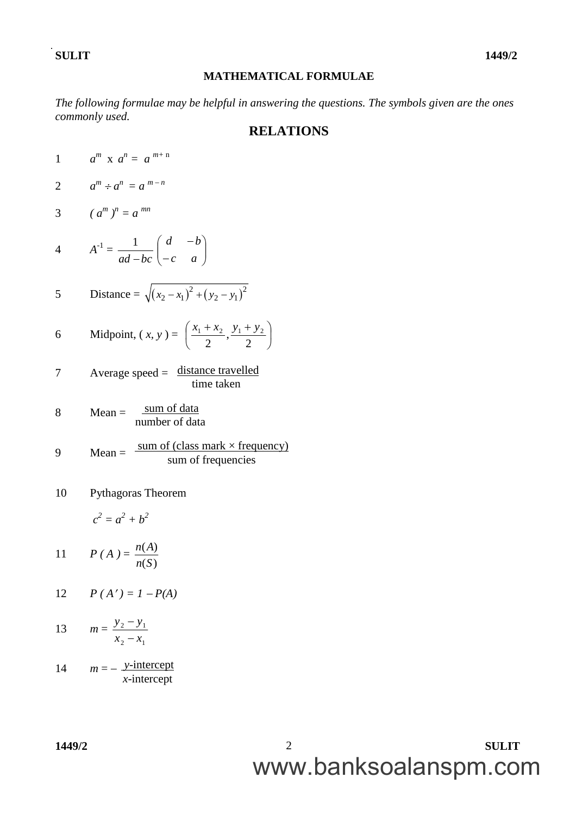#### **MATHEMATICAL FORMULAE**

*The following formulae may be helpful in answering the questions. The symbols given are the ones commonly used.*

#### **RELATIONS**

J

1  $a^m$  **x**  $a^n = a^{m+n}$ 2  $a^m \div a^n = a^{m-n}$ 3  $(a^m)^n = a^{mn}$ 4  $A^{-1} =$ *ad bc* 1  $\overline{\phantom{a}}$ J  $\setminus$  $\overline{\phantom{a}}$  $\setminus$ ſ  $\overline{a}$  $\overline{a}$ *c a d b* 5 Distance =  $\sqrt{(x_2 - x_1)^2 + (y_2 - y_1)^2}$ 6 Midpoint,  $(x, y) = \left| \frac{x_1 + x_2}{2}, \frac{y_1 + y_2}{2} \right|$  $\left(\frac{x_1 + x_2}{2}, \frac{y_1 + y_2}{2}\right)$ L  $\begin{cases} x_1 + x_2 & y_1 + \end{cases}$ 2 , 2  $x_1 + x_2$   $y_1 + y_2$  $7$  Average speed =  $distance$  travelled  $8$  Mean =  $9$  Mean = 10 Pythagoras Theorem  $c^2 = a^2 + b^2$ 11  $P(A) = \frac{1}{2}$  $(S)$  $(A)$ *n S n A* 12  $P(A') = 1 - P(A)$ 13  $m =$ 2  $\lambda_1$ 2  $y_1$  $x_2 - x$  $y_2 - y$ -sum of data number of data sum of (class mark  $\times$  frequency) sum of frequencies time taken

14  $m = -\frac{y\text{-intercept}}{y}$ *x*-intercept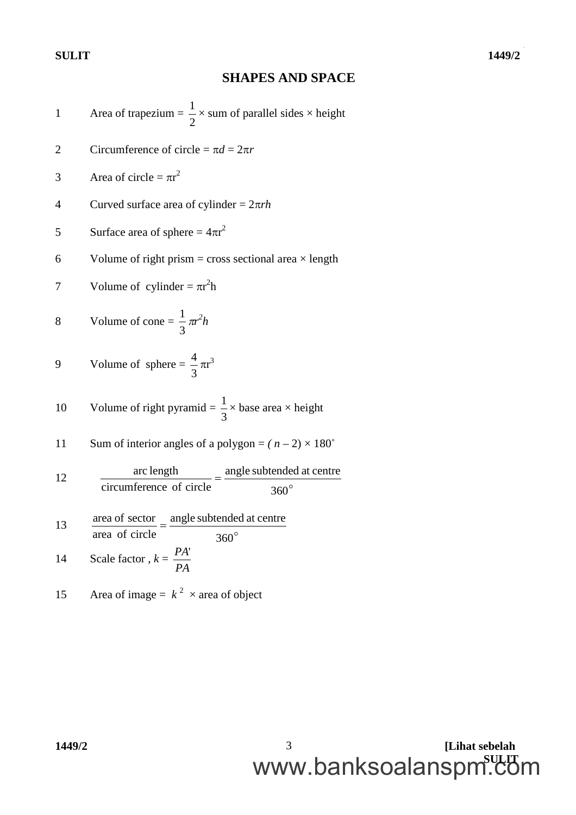### **SHAPES AND SPACE**

Area of trapezium = 
$$
\frac{1}{2}
$$
 × sum of parallel sides × height  
\n2 Circumference of circle =  $\pi d = 2\pi r$   
\n4 Curve surface area of cylinder =  $2\pi rh$   
\n5 Surface area of sphere =  $4\pi r^2$   
\n6 Volume of right prism = cross sectional area × length  
\n7 Volume of cylinder =  $\pi r^2 h$   
\n8 Volume of cone =  $\frac{1}{3}\pi r^2 h$   
\n9 Volume of sphere =  $\frac{4}{3}\pi r^3$   
\n10 Volume of right pyramid =  $\frac{1}{3}$  × base area × height  
\n11 Sum of interior angles of a polygon =  $(n-2)$  × 180°  
\n12 arc length  
\n13 area of sector = angle subtended at centre  
\n14 Area of circle =  $\frac{4R}{3}$   
\n15 Area of image =  $k^2$  × area of object

**1449/2 [Lihat sebelah SULIT** www.banksoalanspm.com3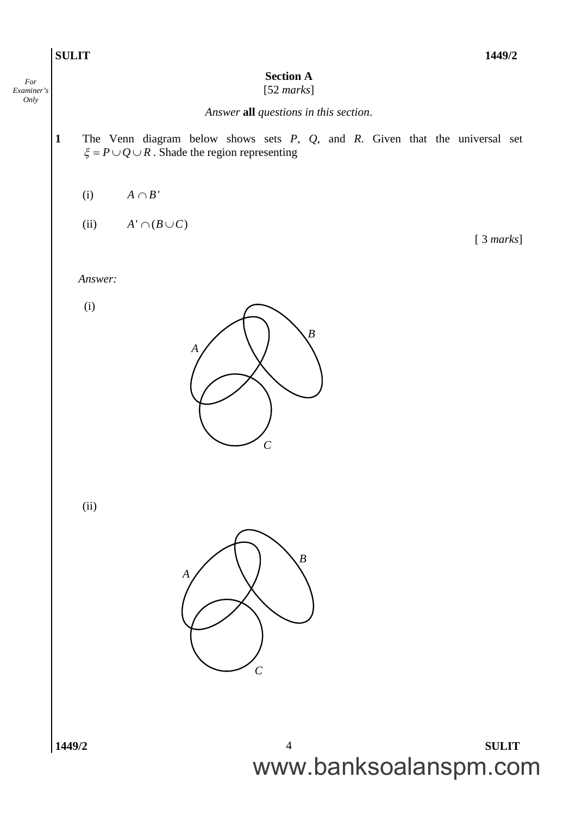

*For Examiner's Only*

[ 3 *marks*]

#### **Section A**

#### [52 *marks*]

*Answer* **all** *questions in this section*.

- **1** The Venn diagram below shows sets *P, Q*, and *R*. Given that the universal set  $\xi = P \cup Q \cup R$ . Shade the region representing
	- (i)  $A \cap B'$
	- (ii)  $A' \cap (B \cup C)$

*Answer:*

(i)



(ii)

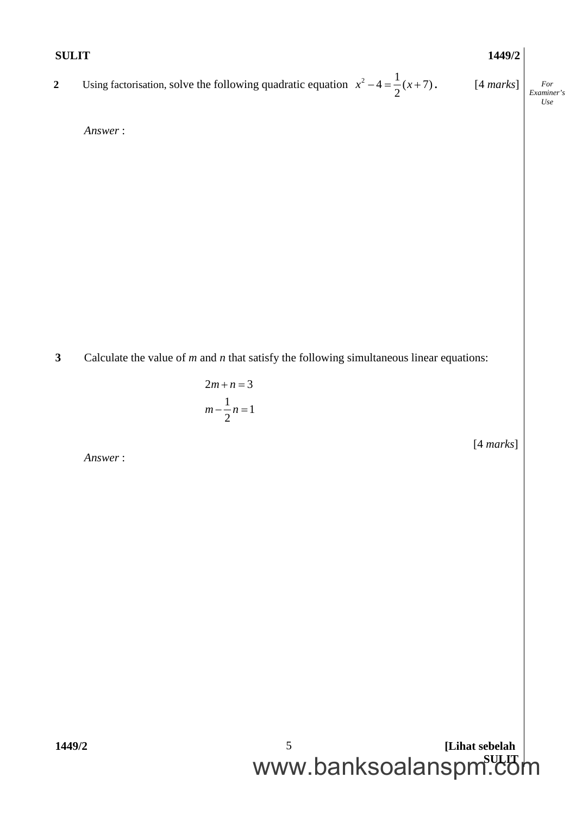| <b>SULIT</b>     |                                                                                                      | 1449/2    |                                 |
|------------------|------------------------------------------------------------------------------------------------------|-----------|---------------------------------|
| $\boldsymbol{2}$ | Using factorisation, solve the following quadratic equation $x^2 - 4 = \frac{1}{2}(x+7)$ . [4 marks] |           | $\cal For$<br>Examiner's<br>Use |
|                  | Answer:                                                                                              |           |                                 |
|                  |                                                                                                      |           |                                 |
|                  |                                                                                                      |           |                                 |
|                  |                                                                                                      |           |                                 |
|                  |                                                                                                      |           |                                 |
|                  |                                                                                                      |           |                                 |
|                  |                                                                                                      |           |                                 |
| $\mathbf{3}$     | Calculate the value of $m$ and $n$ that satisfy the following simultaneous linear equations:         |           |                                 |
|                  | $2m + n = 3$                                                                                         |           |                                 |
|                  | $m - \frac{1}{2}n = 1$                                                                               |           |                                 |
|                  | Answer:                                                                                              | [4 marks] |                                 |
|                  |                                                                                                      |           |                                 |
|                  |                                                                                                      |           |                                 |
|                  |                                                                                                      |           |                                 |
|                  |                                                                                                      |           |                                 |
|                  |                                                                                                      |           |                                 |
|                  |                                                                                                      |           |                                 |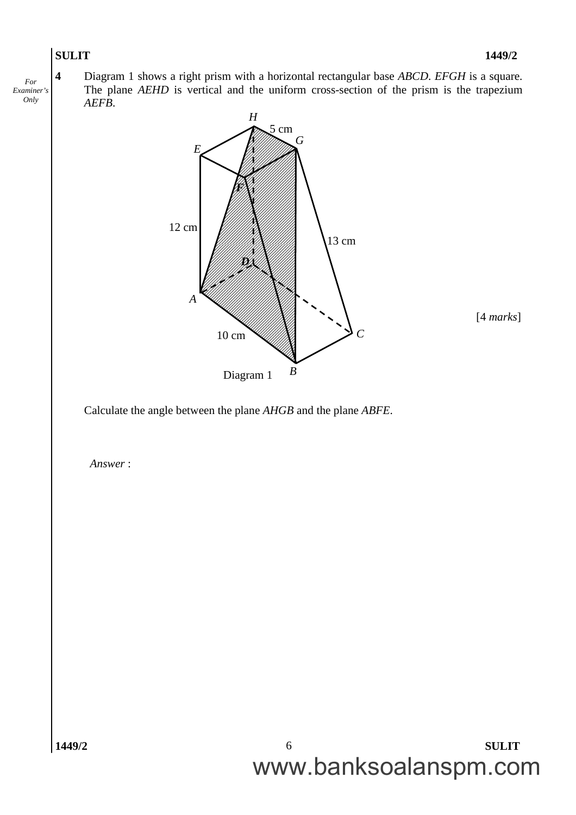

**4** Diagram 1 shows a right prism with a horizontal rectangular base *ABCD*. *EFGH* is a square. The plane *AEHD* is vertical and the uniform cross-section of the prism is the trapezium *AEFB*.



Calculate the angle between the plane *AHGB* and the plane *ABFE*.

*Answer* :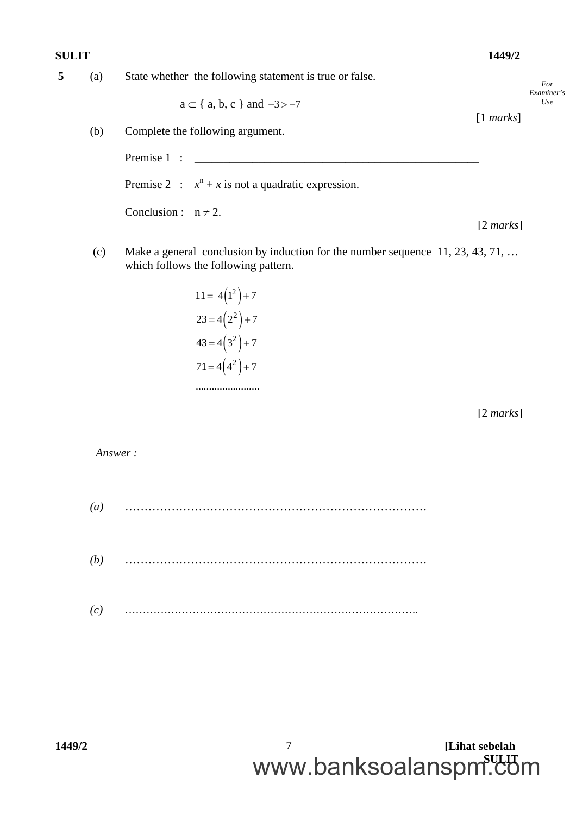| <b>SULIT</b> |                  |                                                                                                                        | 1449/2              |                   |
|--------------|------------------|------------------------------------------------------------------------------------------------------------------------|---------------------|-------------------|
| 5            | (a)              | State whether the following statement is true or false.                                                                |                     | For               |
|              |                  | $a \subset \{ a, b, c \}$ and $-3 > -7$                                                                                |                     | Examiner's<br>Use |
|              | (b)              | Complete the following argument.                                                                                       | [1 marks]           |                   |
|              |                  | Premise 1 :                                                                                                            |                     |                   |
|              |                  | Premise 2 : $x^n + x$ is not a quadratic expression.                                                                   |                     |                   |
|              |                  | Conclusion : $n \neq 2$ .                                                                                              |                     |                   |
|              |                  |                                                                                                                        | $[2 \text{ marks}]$ |                   |
|              | (c)              | Make a general conclusion by induction for the number sequence 11, 23, 43, 71,<br>which follows the following pattern. |                     |                   |
|              |                  | $11 = 4(1^2) + 7$                                                                                                      |                     |                   |
|              |                  | $23 = 4(2^2) + 7$                                                                                                      |                     |                   |
|              |                  | $43 = 4(3^2) + 7$                                                                                                      |                     |                   |
|              |                  | $71 = 4(4^2) + 7$                                                                                                      |                     |                   |
|              |                  |                                                                                                                        |                     |                   |
|              |                  |                                                                                                                        | $[2 \text{ marks}]$ |                   |
|              |                  | Answer:                                                                                                                |                     |                   |
|              | $\left(a\right)$ |                                                                                                                        |                     |                   |
|              |                  |                                                                                                                        |                     |                   |
|              | (b)              |                                                                                                                        |                     |                   |
|              | (c)              |                                                                                                                        |                     |                   |
|              |                  |                                                                                                                        |                     |                   |
|              |                  |                                                                                                                        |                     |                   |
|              |                  |                                                                                                                        |                     |                   |
|              |                  |                                                                                                                        |                     |                   |
| 1449/2       |                  | 7                                                                                                                      | [Lihat sebelah      |                   |
|              |                  | www.banksoalanspm.com                                                                                                  |                     |                   |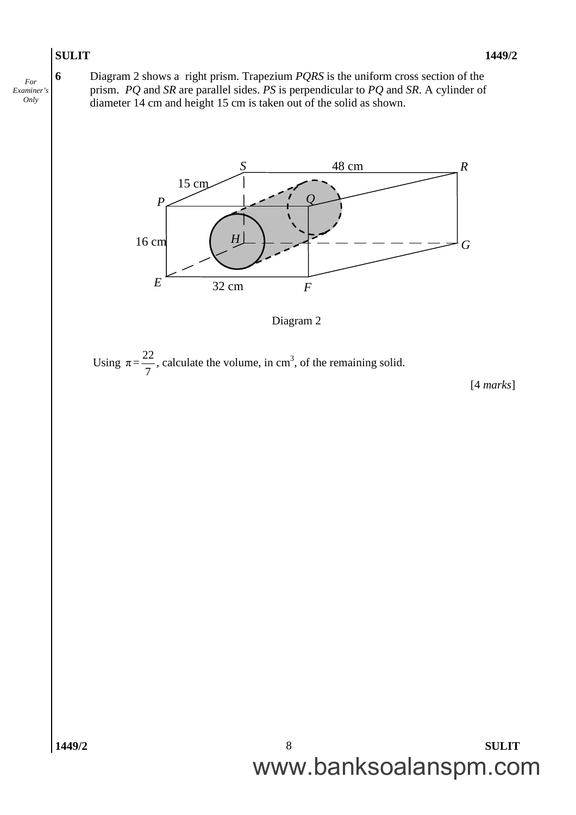*For Examiner's Only*

**6** Diagram 2 shows a right prism. Trapezium *PQRS* is the uniform cross section of the prism. *PQ* and *SR* are parallel sides. *PS* is perpendicular to *PQ* and *SR*. A cylinder of diameter 14 cm and height 15 cm is taken out of the solid as shown.



Diagram 2

Using  $\pi = \frac{22}{7}$ 7 , calculate the volume, in  $cm<sup>3</sup>$ , of the remaining solid.

[4 *marks*]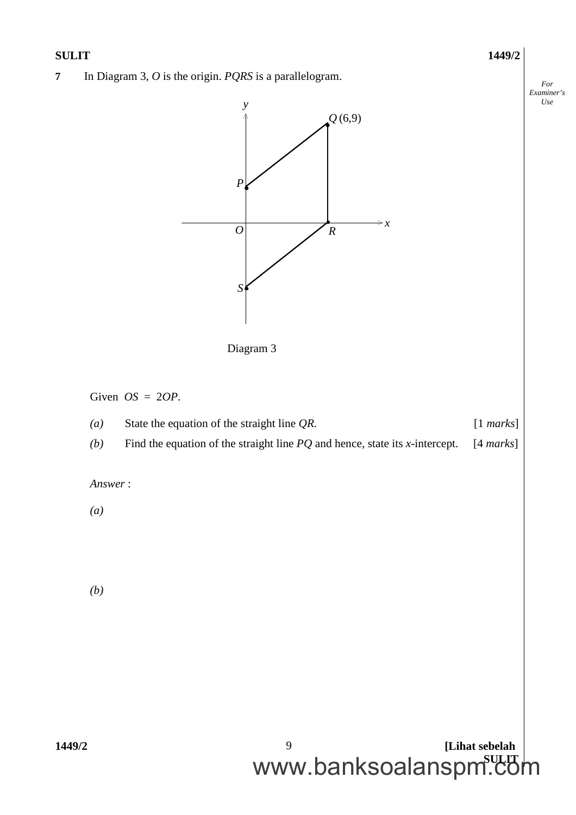# **1449/2 [Lihat sebelah** *Examiner's* **7** In Diagram 3, *O* is the origin. *PQRS* is a parallelogram. Given *OS* = 2*OP*. *(a)* State the equation of the straight line *QR.* [1 *marks*] *(b)* Find the equation of the straight line *PQ* and hence, state its *x*-intercept. [4 *marks*] *Answer* : *(a) (b) P S R y*  $\Rightarrow x$ *O* Diagram 3  $\mathcal{Q}^{(6,9)}$ ¥ ķ  $\mathbf{r}$

*For*

*Use*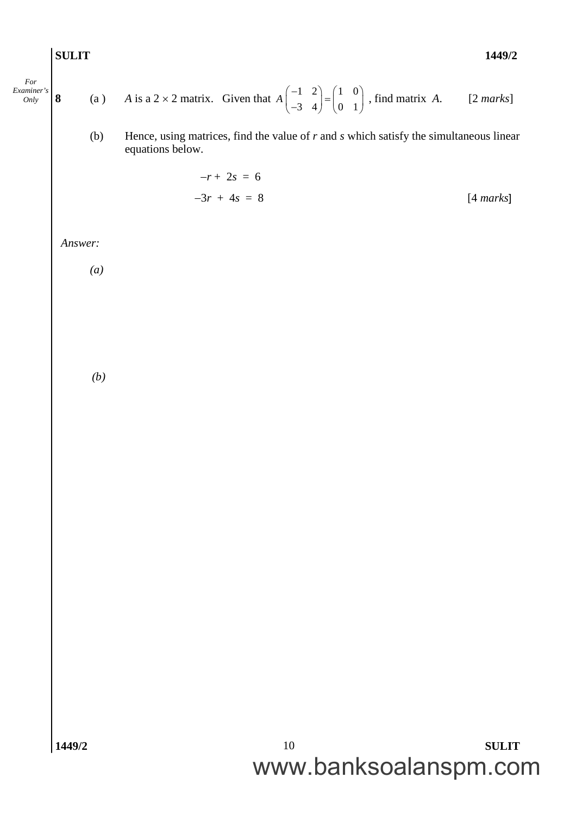*For Examiner's*

$$
\begin{vmatrix}\n\text{For} \\
\text{Omly} \\
\text{Omly}\n\end{vmatrix}\n\mathbf{8}\n\qquad\n\text{(a)}\n\qquad\nA \text{ is a } 2 \times 2 \text{ matrix.} \quad \text{Given that } A \begin{pmatrix} -1 & 2 \\ -3 & 4 \end{pmatrix} = \begin{pmatrix} 1 & 0 \\ 0 & 1 \end{pmatrix}, \text{ find matrix } A. \qquad [2 \text{ marks}]
$$

(b) Hence, using matrices, find the value of *r* and *s* which satisfy the simultaneous linear equations below.

$$
-r + 2s = 6
$$
  

$$
-3r + 4s = 8
$$
 [4 marks]

*Answer:*

*(a)*

*(b)*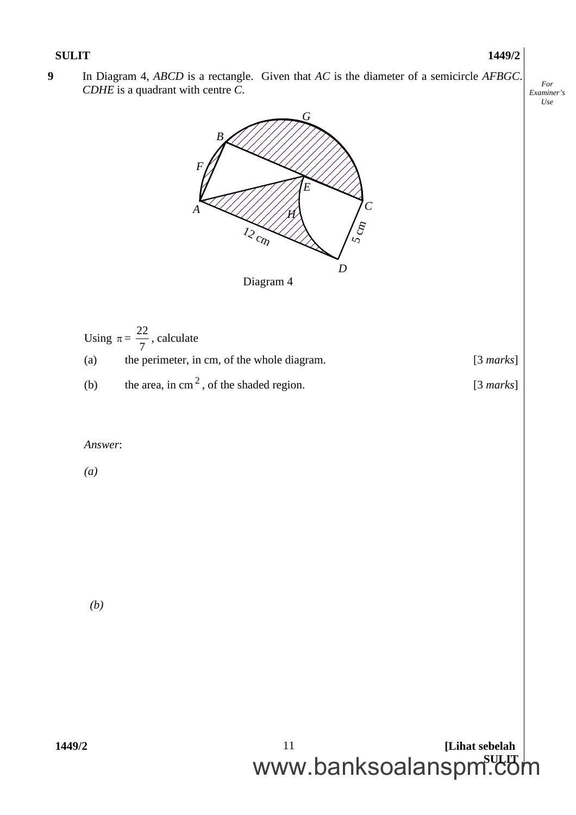**9** In Diagram 4, *ABCD* is a rectangle. Given that *AC* is the diameter of a semicircle *AFBGC*. *CDHE* is a quadrant with centre *C*.



|     | Using $\pi = \frac{22}{7}$ , calculate             |                     |
|-----|----------------------------------------------------|---------------------|
| (a) | the perimeter, in cm, of the whole diagram.        | $[3 \text{ marks}]$ |
| (b) | the area, in $\text{cm}^2$ , of the shaded region. | $[3 \text{ marks}]$ |

#### *Answer*:

*(a)*

*(b)*

**1449/2 [Lihat sebelah** www.banksoalanspm.com 11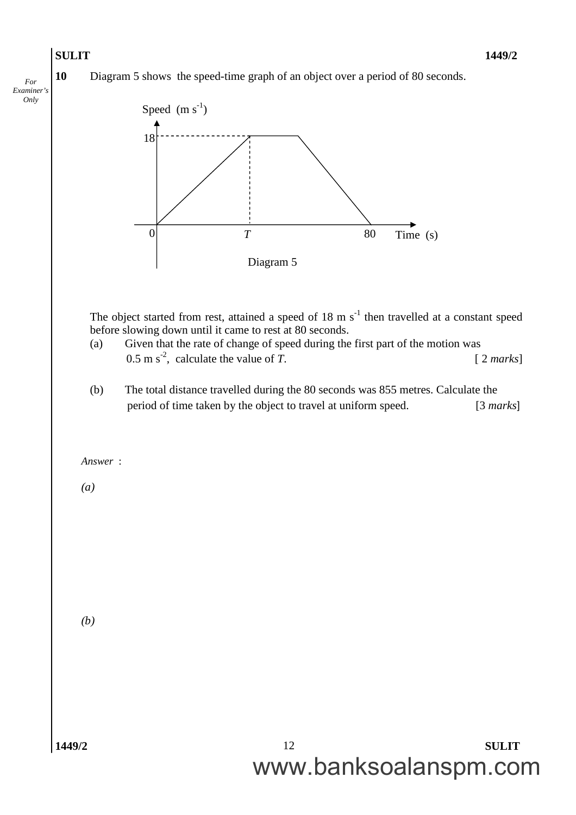*For Examiner's Only*

**10** Diagram 5 shows the speed-time graph of an object over a period of 80 seconds.

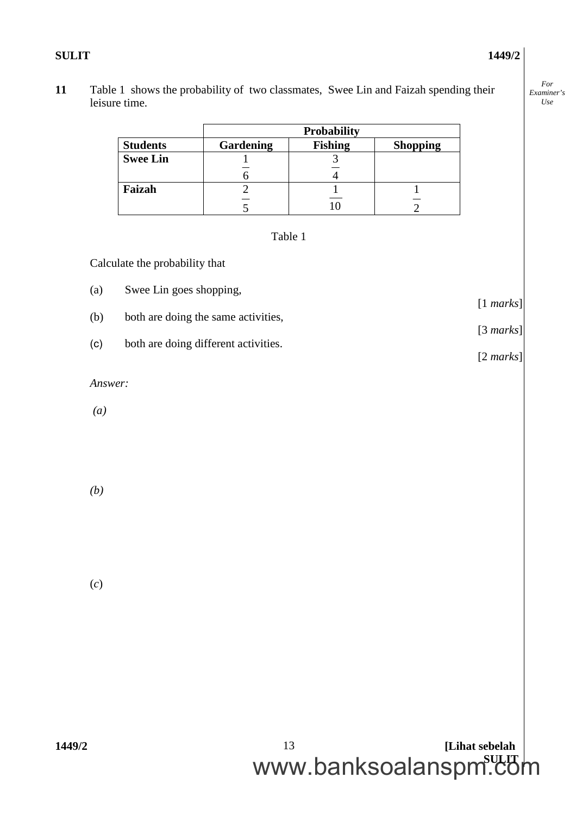**11** Table 1 shows the probability of two classmates, Swee Lin and Faizah spending their leisure time.

|                 | <b>Probability</b> |                |                 |
|-----------------|--------------------|----------------|-----------------|
| <b>Students</b> | Gardening          | <b>Fishing</b> | <b>Shopping</b> |
| <b>Swee Lin</b> |                    |                |                 |
|                 |                    |                |                 |
| Faizah          |                    |                |                 |
|                 |                    |                |                 |

Table 1

Calculate the probability that

- (a) Swee Lin goes shopping,
- (b) both are doing the same activities,
- (c) both are doing different activities.

*Answer:*

*(a)*

*(b)*

(*c*)

[1 *marks*]

[3 *marks*]

[2 *marks*]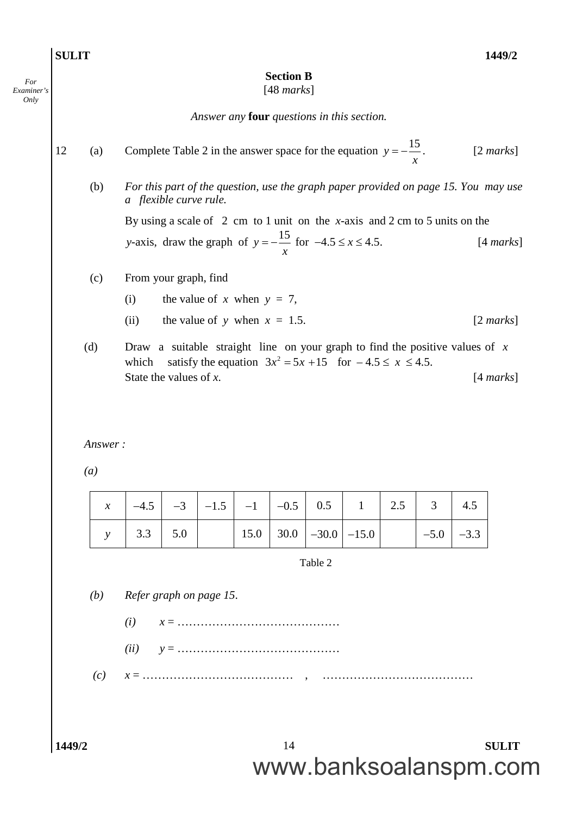| <b>Section B</b><br>[48 marks]<br>Answer any <b>four</b> questions in this section.<br>Complete Table 2 in the answer space for the equation $y = -\frac{15}{3}$ .<br>$[2 \text{ marks}]$<br>(a)<br>(b)<br>For this part of the question, use the graph paper provided on page 15. You may use<br>a flexible curve rule.<br>By using a scale of $2 \text{ cm}$ to 1 unit on the <i>x</i> -axis and 2 cm to 5 units on the<br>y-axis, draw the graph of $y = -\frac{15}{x}$ for $-4.5 \le x \le 4.5$ .<br>[4 marks]<br>From your graph, find<br>(c)<br>the value of x when $y = 7$ ,<br>(i)<br>the value of y when $x = 1.5$ .<br>$[2 \text{ marks}]$<br>(ii)<br>(d)<br>Draw a suitable straight line on your graph to find the positive values of $x$<br>satisfy the equation $3x^2 = 5x + 15$ for $-4.5 \le x \le 4.5$ .<br>which<br>State the values of $x$ .<br>[4 marks]<br>Answer:<br>$\left(a\right)$ |
|-------------------------------------------------------------------------------------------------------------------------------------------------------------------------------------------------------------------------------------------------------------------------------------------------------------------------------------------------------------------------------------------------------------------------------------------------------------------------------------------------------------------------------------------------------------------------------------------------------------------------------------------------------------------------------------------------------------------------------------------------------------------------------------------------------------------------------------------------------------------------------------------------------------|
|                                                                                                                                                                                                                                                                                                                                                                                                                                                                                                                                                                                                                                                                                                                                                                                                                                                                                                             |
|                                                                                                                                                                                                                                                                                                                                                                                                                                                                                                                                                                                                                                                                                                                                                                                                                                                                                                             |
|                                                                                                                                                                                                                                                                                                                                                                                                                                                                                                                                                                                                                                                                                                                                                                                                                                                                                                             |
|                                                                                                                                                                                                                                                                                                                                                                                                                                                                                                                                                                                                                                                                                                                                                                                                                                                                                                             |
|                                                                                                                                                                                                                                                                                                                                                                                                                                                                                                                                                                                                                                                                                                                                                                                                                                                                                                             |
|                                                                                                                                                                                                                                                                                                                                                                                                                                                                                                                                                                                                                                                                                                                                                                                                                                                                                                             |
|                                                                                                                                                                                                                                                                                                                                                                                                                                                                                                                                                                                                                                                                                                                                                                                                                                                                                                             |
|                                                                                                                                                                                                                                                                                                                                                                                                                                                                                                                                                                                                                                                                                                                                                                                                                                                                                                             |
|                                                                                                                                                                                                                                                                                                                                                                                                                                                                                                                                                                                                                                                                                                                                                                                                                                                                                                             |
|                                                                                                                                                                                                                                                                                                                                                                                                                                                                                                                                                                                                                                                                                                                                                                                                                                                                                                             |
|                                                                                                                                                                                                                                                                                                                                                                                                                                                                                                                                                                                                                                                                                                                                                                                                                                                                                                             |
| 0.5<br>3<br>2.5<br>$-0.5$<br>1<br>4.5<br>$-4.5$<br>$-3$<br>$-1.5$<br>$-1$<br>$\chi$                                                                                                                                                                                                                                                                                                                                                                                                                                                                                                                                                                                                                                                                                                                                                                                                                         |
|                                                                                                                                                                                                                                                                                                                                                                                                                                                                                                                                                                                                                                                                                                                                                                                                                                                                                                             |
| 3.3<br>5.0<br>15.0<br>30.0<br>$-30.0$<br>$-15.0$<br>$-3.3$<br>$-5.0$<br>$\mathcal{Y}$                                                                                                                                                                                                                                                                                                                                                                                                                                                                                                                                                                                                                                                                                                                                                                                                                       |
| Table 2                                                                                                                                                                                                                                                                                                                                                                                                                                                                                                                                                                                                                                                                                                                                                                                                                                                                                                     |
| (b)<br>Refer graph on page 15.                                                                                                                                                                                                                                                                                                                                                                                                                                                                                                                                                                                                                                                                                                                                                                                                                                                                              |
| (i)                                                                                                                                                                                                                                                                                                                                                                                                                                                                                                                                                                                                                                                                                                                                                                                                                                                                                                         |
| (ii)                                                                                                                                                                                                                                                                                                                                                                                                                                                                                                                                                                                                                                                                                                                                                                                                                                                                                                        |
|                                                                                                                                                                                                                                                                                                                                                                                                                                                                                                                                                                                                                                                                                                                                                                                                                                                                                                             |
| (c)                                                                                                                                                                                                                                                                                                                                                                                                                                                                                                                                                                                                                                                                                                                                                                                                                                                                                                         |
|                                                                                                                                                                                                                                                                                                                                                                                                                                                                                                                                                                                                                                                                                                                                                                                                                                                                                                             |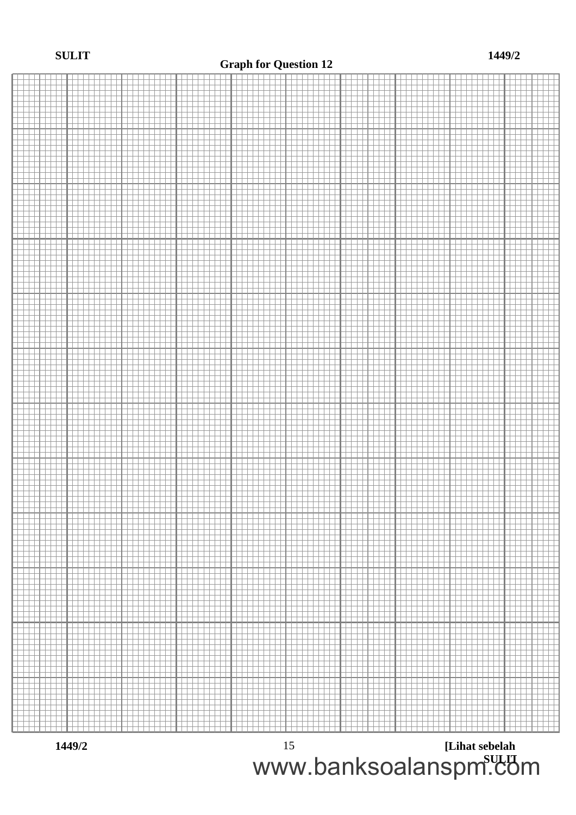#### **Graph for Question 12**



**1449/2 [Lihat sebelah SULIT** www.banksoalanspm.com15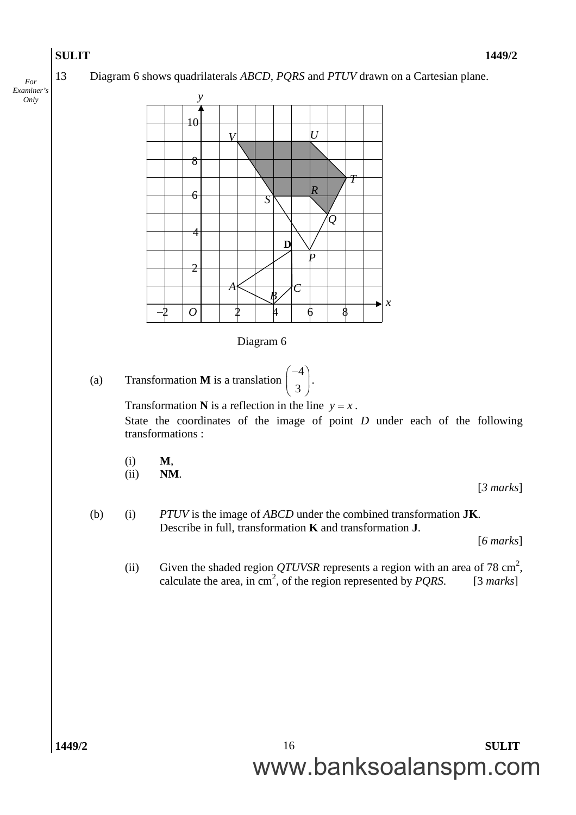*For Examiner's Only*

13 Diagram 6 shows quadrilaterals *ABCD*, *PQRS* and *PTUV* drawn on a Cartesian plane.

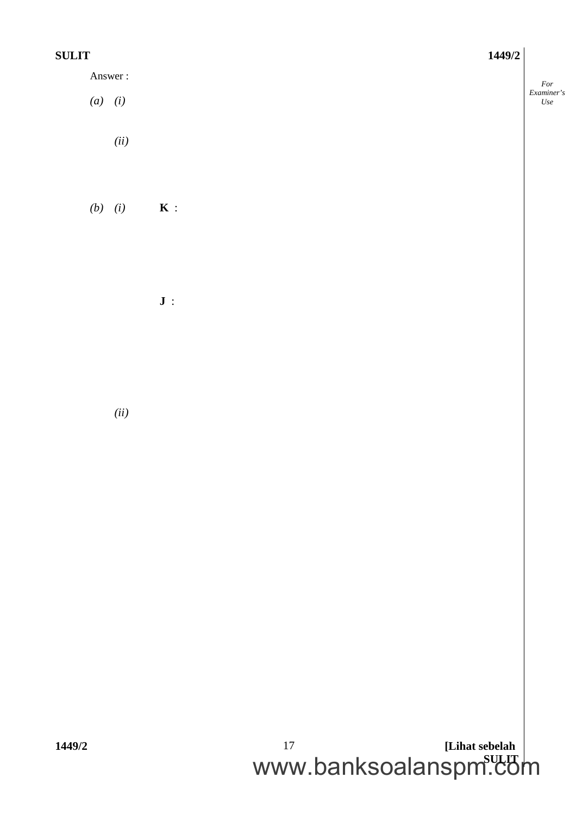*For Examiner's Use*

Answer :

*(a) (i) (ii)*

*(b) (i)* **K** :

**J** :

*(ii)*

**1449/2 [Lihat sebelah** www.banksoalanspm.com 17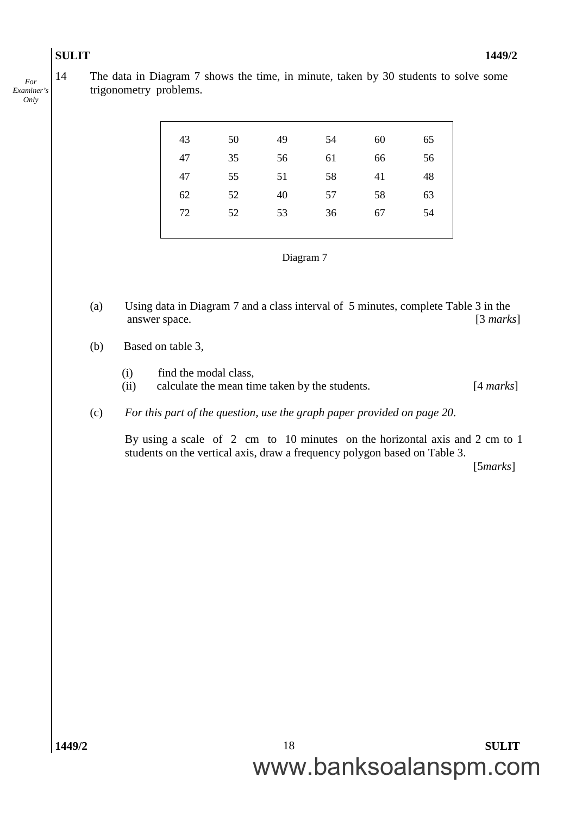*For Examiner's Only*

14 The data in Diagram 7 shows the time, in minute, taken by 30 students to solve some trigonometry problems.

| 43 | 50 | 49 | 54 | 60 | 65 |
|----|----|----|----|----|----|
| 47 | 35 | 56 | 61 | 66 | 56 |
| 47 | 55 | 51 | 58 | 41 | 48 |
| 62 | 52 | 40 | 57 | 58 | 63 |
| 72 | 52 | 53 | 36 | 67 | 54 |
|    |    |    |    |    |    |

| Diagram |  |
|---------|--|
|---------|--|

- (a) Using data in Diagram 7 and a class interval of 5 minutes, complete Table 3 in the answer space. [3 *marks*]
- (b) Based on table 3*,*
	- (i) find the modal class,
	- (ii) calculate the mean time taken by the students. [4 *marks*]
- (c) *For this part of the question, use the graph paper provided on page 20*.

By using a scale of 2 cm to 10 minutes on the horizontal axis and 2 cm to 1 students on the vertical axis, draw a frequency polygon based on Table 3.

[5*marks*]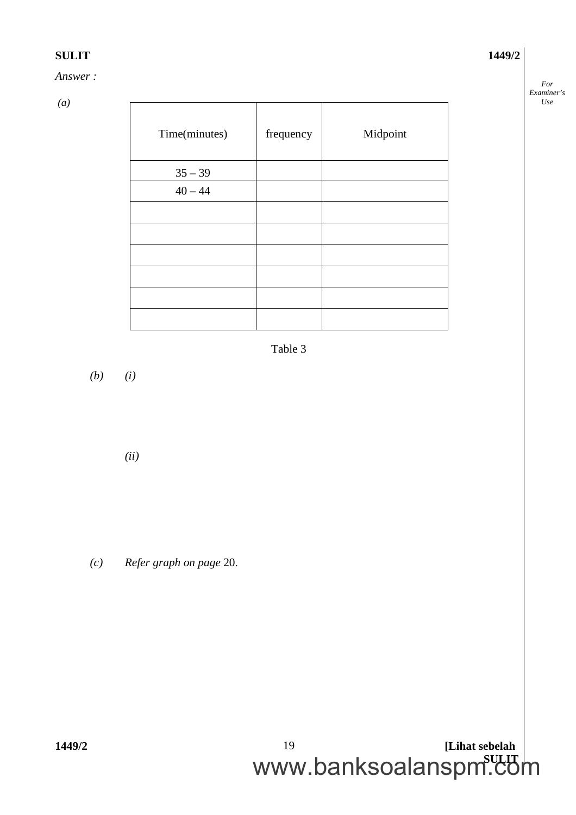#### *Answer :*

*(a)*

| Time(minutes) | frequency | Midpoint |
|---------------|-----------|----------|
| $35 - 39$     |           |          |
| $40 - 44$     |           |          |
|               |           |          |
|               |           |          |
|               |           |          |
|               |           |          |
|               |           |          |
|               |           |          |

Table 3

*(b) (i)*

*(ii)*

*(c) Refer graph on page* 20.

*For Examiner's Use*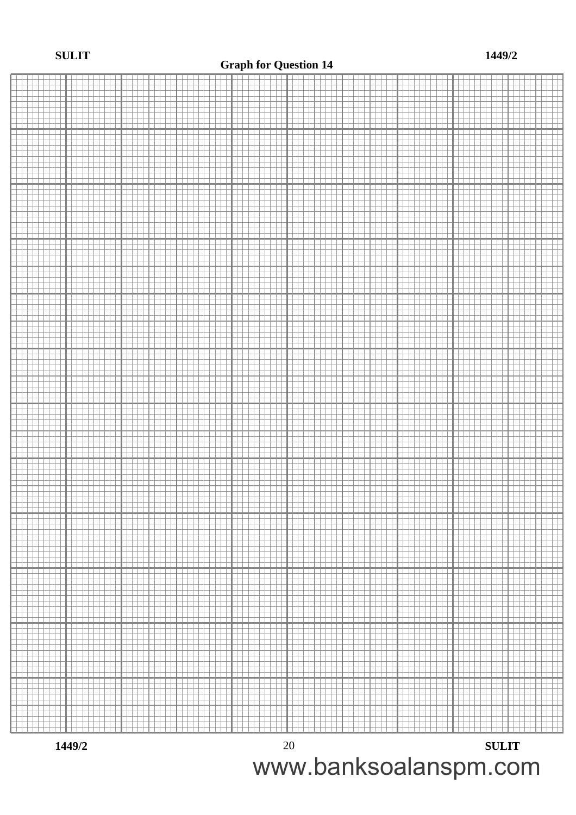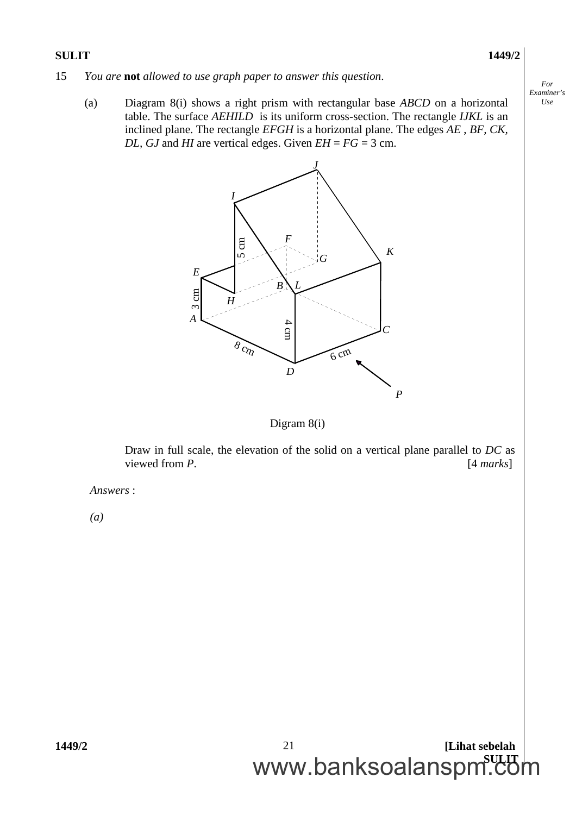*For Examiner's Use*

- 15 *You are* **not** *allowed to use graph paper to answer this question*.
	- (a) Diagram 8(i) shows a right prism with rectangular base *ABCD* on a horizontal table. The surface *AEHILD* is its uniform cross-section. The rectangle *IJKL* is an inclined plane. The rectangle *EFGH* is a horizontal plane. The edges *AE* , *BF, CK, DL, GJ* and *HI* are vertical edges. Given  $EH = FG = 3$  cm.



#### Digram 8(i)

Draw in full scale, the elevation of the solid on a vertical plane parallel to *DC* as viewed from *P*. [4 *marks*]

*Answers* :

*(a)*

**1449/2 [Lihat sebelah** www.banksoalanspm.com 21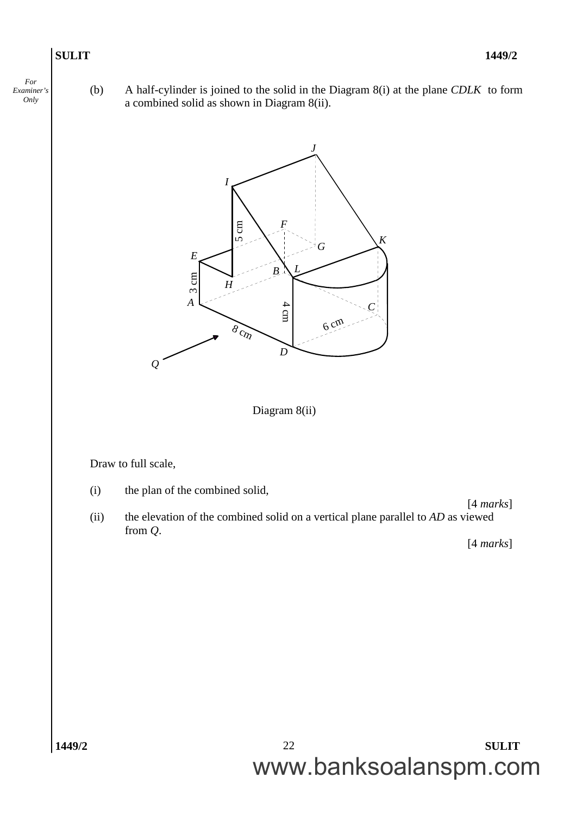*For Examiner's Only*

(b) A half-cylinder is joined to the solid in the Diagram 8(i) at the plane *CDLK* to form a combined solid as shown in Diagram 8(ii).

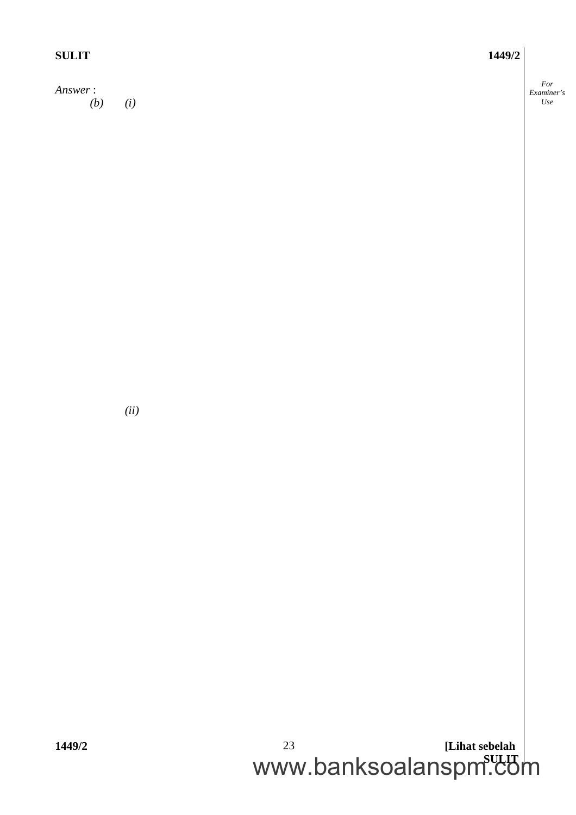| <b>SULIT</b>          | 1449/2 |                          |
|-----------------------|--------|--------------------------|
| Answer:<br>(b)<br>(i) |        | For<br>Examiner's<br>Use |
|                       |        |                          |
|                       |        |                          |
|                       |        |                          |

*(ii)*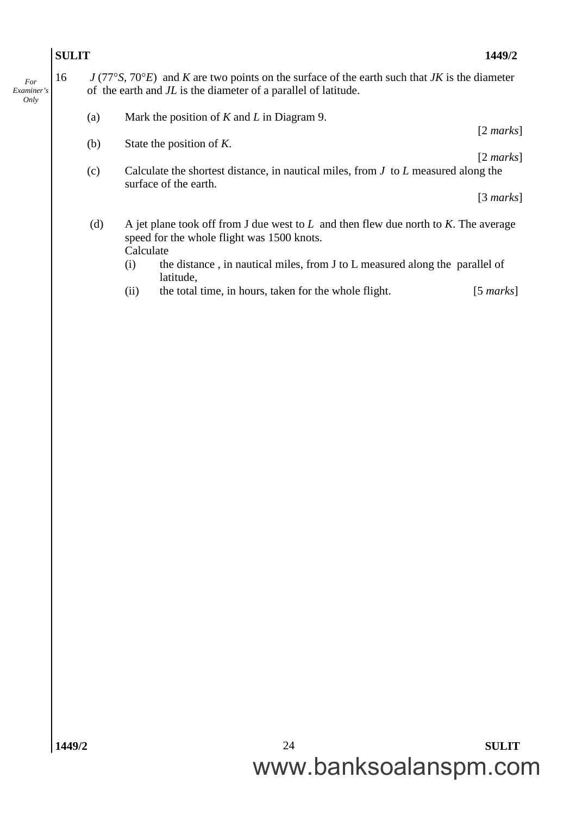### **SULIT 1449/2** *Examiner's* 16 *J* (77*S*, 70*E*) and *K* are two points on the surface of the earth such that *JK* is the diameter of the earth and *JL* is the diameter of a parallel of latitude. (a) Mark the position of *K* and *L* in Diagram 9. [2 *marks*] (b) State the position of *K*. [2 *marks*] (c) Calculate the shortest distance, in nautical miles, from *J* to *L* measured along the surface of the earth. [3 *marks*] (d) A jet plane took off from J due west to *L* and then flew due north to *K*. The average speed for the whole flight was 1500 knots. Calculate (i) the distance , in nautical miles, from J to L measured along the parallel of latitude,

(ii) the total time, in hours, taken for the whole flight. [5 *marks*]

*For*

*Only*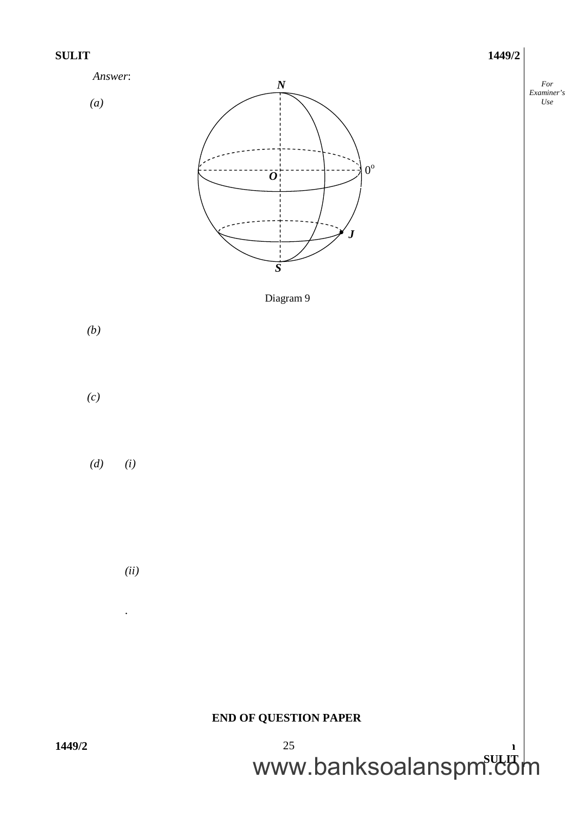



*(ii)*

.

### **END OF QUESTION PAPER**



*For Examiner's Use*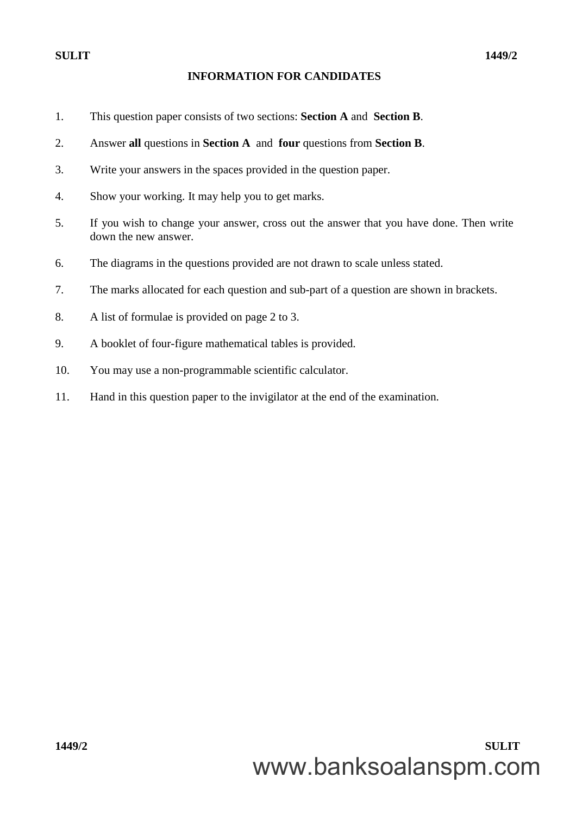#### **INFORMATION FOR CANDIDATES**

- 1. This question paper consists of two sections: **Section A** and **Section B**.
- 2. Answer **all** questions in **Section A** and **four** questions from **Section B**.
- 3. Write your answers in the spaces provided in the question paper.
- 4. Show your working. It may help you to get marks.
- 5. If you wish to change your answer, cross out the answer that you have done. Then write down the new answer.
- 6. The diagrams in the questions provided are not drawn to scale unless stated.
- 7. The marks allocated for each question and sub-part of a question are shown in brackets.
- 8. A list of formulae is provided on page 2 to 3.
- 9. A booklet of four-figure mathematical tables is provided.
- 10. You may use a non-programmable scientific calculator.
- 11. Hand in this question paper to the invigilator at the end of the examination.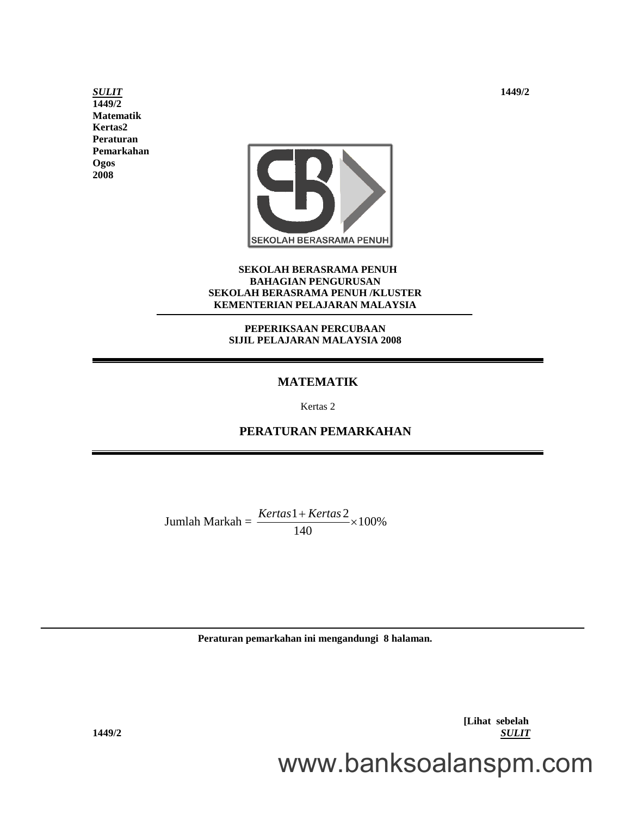*SULIT* **1449/2 1449/2 Matematik Kertas2 Peraturan Pemarkahan Ogos 2008**



#### **SEKOLAH BERASRAMA PENUH BAHAGIAN PENGURUSAN SEKOLAH BERASRAMA PENUH /KLUSTER KEMENTERIAN PELAJARAN MALAYSIA**

#### **PEPERIKSAAN PERCUBAAN SIJIL PELAJARAN MALAYSIA 2008**

#### **MATEMATIK**

Kertas 2

**PERATURAN PEMARKAHAN**

Jumlah Markah =  $\frac{Kertas1+Kertas2}{100\%}$  × 100% 140  $Kertas 1 + Kertas 2$ <sub>×</sub>

**Peraturan pemarkahan ini mengandungi 8 halaman.**

**[Lihat sebelah 1449/2** *SULIT*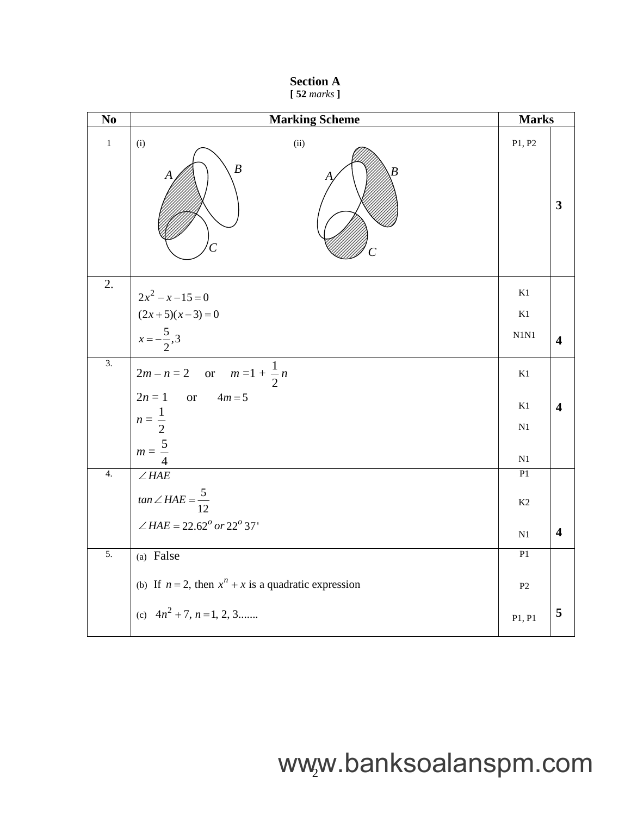|  | <b>Section A</b> |  |
|--|------------------|--|
|  | $[52$ marks $]$  |  |

| N <sub>o</sub>   | <b>Marking Scheme</b>                                     | <b>Marks</b>  |                         |
|------------------|-----------------------------------------------------------|---------------|-------------------------|
| $\mathbf{1}$     | (ii)<br>(i)<br>$\boldsymbol{B}$<br>Α                      | P1, P2        | $\overline{\mathbf{3}}$ |
| 2.               | $2x^2 - x - 15 = 0$                                       | K1            |                         |
|                  |                                                           | K1            |                         |
|                  | $(2x+5)(x-3) = 0$<br>$x = -\frac{5}{2}, 3$                | N1N1          | 4                       |
| $\overline{3}$ . | $2m - n = 2$ or $m = 1 + \frac{1}{2}n$                    | K1            |                         |
|                  | $2n = 1$ or $4m = 5$                                      | K1            | 4                       |
|                  | $n=\frac{1}{2}$                                           | N1            |                         |
|                  | $m=\frac{5}{4}$                                           | N1            |                         |
| $\overline{4}$ . | $\angle HAE$                                              | P1            |                         |
|                  | $tan \angle HAE = \frac{5}{12}$                           | K2            |                         |
|                  | $\angle HAE = 22.62^{\circ}$ or $22^{\circ}$ 37'          | $\mathbf{N}1$ | $\overline{\mathbf{4}}$ |
| 5.               | (a) False                                                 | P1            |                         |
|                  | (b) If $n = 2$ , then $x^n + x$ is a quadratic expression | $\mathbf{P}2$ |                         |
|                  | (c) $4n^2 + 7$ , $n = 1, 2, 3$                            | P1, P1        | 5                       |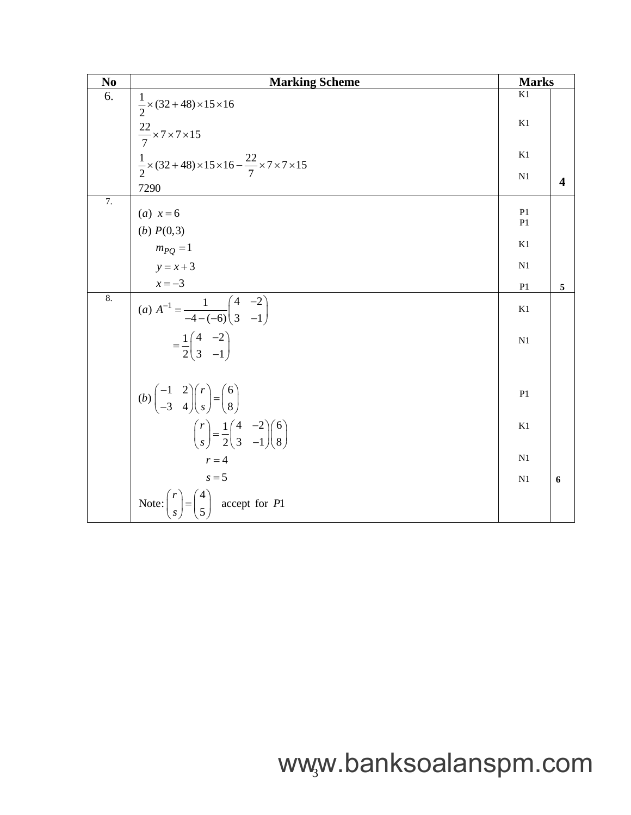| No               | <b>Marking Scheme</b>                                                                                                          | <b>Marks</b>   |   |
|------------------|--------------------------------------------------------------------------------------------------------------------------------|----------------|---|
| 6.               | $\frac{1}{2}$ × (32 + 48) × 15 × 16                                                                                            | K1             |   |
|                  | $\frac{22}{7}$ × 7 × 7 × 15                                                                                                    | K1             |   |
|                  | $\frac{1}{2}$ x (32 + 48) x 15 x 16 - $\frac{22}{7}$ x 7 x 7 x 15                                                              | K1             |   |
|                  | 7290                                                                                                                           | N <sub>1</sub> | 4 |
| $\overline{7}$ . | ( <i>a</i> ) $x = 6$                                                                                                           | P <sub>1</sub> |   |
|                  | (b) $P(0,3)$                                                                                                                   | P <sub>1</sub> |   |
|                  | $m_{PO} = 1$                                                                                                                   | K1             |   |
|                  | $y = x + 3$                                                                                                                    | N1             |   |
|                  | $x = -3$                                                                                                                       | P <sub>1</sub> | 5 |
| 8.               | (a) $A^{-1} = \frac{1}{-4-(-6)} \begin{pmatrix} 4 & -2 \\ 3 & -1 \end{pmatrix}$                                                | K1             |   |
|                  | $=\frac{1}{2}\begin{pmatrix} 4 & -2 \\ 3 & -1 \end{pmatrix}$                                                                   | N1             |   |
|                  | $(b)\begin{pmatrix} -1 & 2 \\ -3 & 4 \end{pmatrix}\begin{pmatrix} r \\ s \end{pmatrix} = \begin{pmatrix} 6 \\ 8 \end{pmatrix}$ | P <sub>1</sub> |   |
|                  | $\binom{r}{s} = \frac{1}{2} \binom{4}{3} \begin{pmatrix} 6 \\ -1 \end{pmatrix}$                                                | K1             |   |
|                  | $r = 4$                                                                                                                        | N <sub>1</sub> |   |
|                  | $s = 5$                                                                                                                        | N <sub>1</sub> | 6 |
|                  | Note: $\binom{r}{s} = \binom{4}{5}$ accept for P1                                                                              |                |   |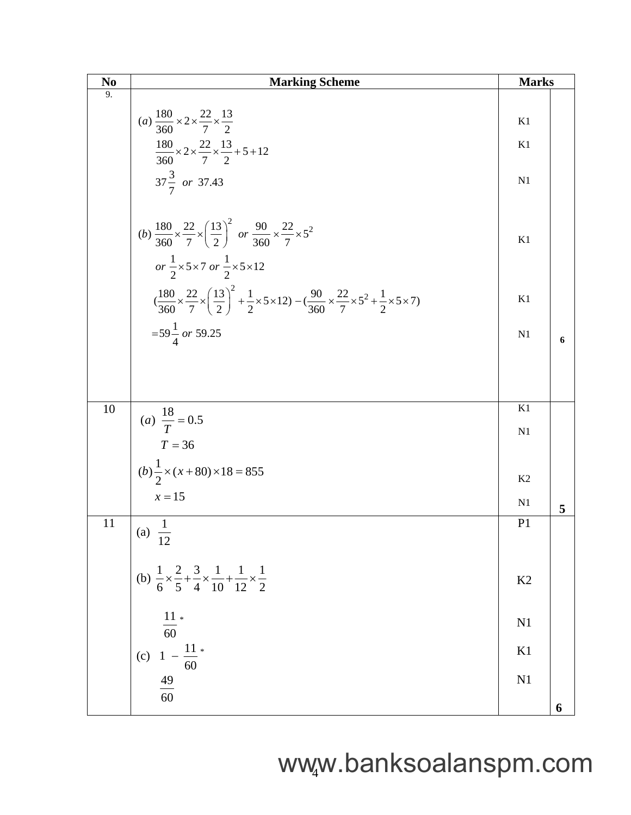| N <sub>0</sub> | <b>Marking Scheme</b>                                                                                                                                                                                     |                      |   |  |
|----------------|-----------------------------------------------------------------------------------------------------------------------------------------------------------------------------------------------------------|----------------------|---|--|
| 9.             |                                                                                                                                                                                                           |                      |   |  |
|                | (a) $\frac{180}{360} \times 2 \times \frac{22}{7} \times \frac{13}{2}$                                                                                                                                    | K1                   |   |  |
|                | $\frac{180}{360} \times 2 \times \frac{22}{7} \times \frac{13}{2} + 5 + 12$                                                                                                                               | K1                   |   |  |
|                | $37\frac{3}{7}$ or 37.43                                                                                                                                                                                  | N <sub>1</sub>       |   |  |
|                | (b) $\frac{180}{360} \times \frac{22}{7} \times \left(\frac{13}{2}\right)^2$ or $\frac{90}{360} \times \frac{22}{7} \times 5^2$<br>or $\frac{1}{2} \times 5 \times 7$ or $\frac{1}{2} \times 5 \times 12$ | K1                   |   |  |
|                | $\left(\frac{180}{360}\times\frac{22}{7}\times\left(\frac{13}{2}\right)^2+\frac{1}{2}\times5\times12\right)-\left(\frac{90}{360}\times\frac{22}{7}\times5^2+\frac{1}{2}\times5\times7\right)$             | K1                   |   |  |
|                | $=59\frac{1}{4}$ or 59.25                                                                                                                                                                                 | N1                   | 6 |  |
|                |                                                                                                                                                                                                           |                      |   |  |
|                |                                                                                                                                                                                                           |                      |   |  |
| 10             | (a) $\frac{18}{T} = 0.5$                                                                                                                                                                                  | K1                   |   |  |
|                | $T = 36$                                                                                                                                                                                                  | N <sub>1</sub>       |   |  |
|                | $(b)$ $\frac{1}{2} \times (x + 80) \times 18 = 855$                                                                                                                                                       |                      |   |  |
|                | $x=15$                                                                                                                                                                                                    | K <sub>2</sub><br>N1 |   |  |
| 11             |                                                                                                                                                                                                           | P <sub>1</sub>       | 5 |  |
|                | (a) $\frac{1}{12}$                                                                                                                                                                                        |                      |   |  |
|                | (b) $\frac{1}{6} \times \frac{2}{5} + \frac{3}{4} \times \frac{1}{10} + \frac{1}{12} \times \frac{1}{2}$                                                                                                  | K <sub>2</sub>       |   |  |
|                | $\frac{11}{60} *$                                                                                                                                                                                         | N <sub>1</sub>       |   |  |
|                | $1 - \frac{11}{60}$<br>(c)                                                                                                                                                                                | K1                   |   |  |
|                | $\frac{49}{60}$                                                                                                                                                                                           | N <sub>1</sub>       |   |  |
|                |                                                                                                                                                                                                           |                      | 6 |  |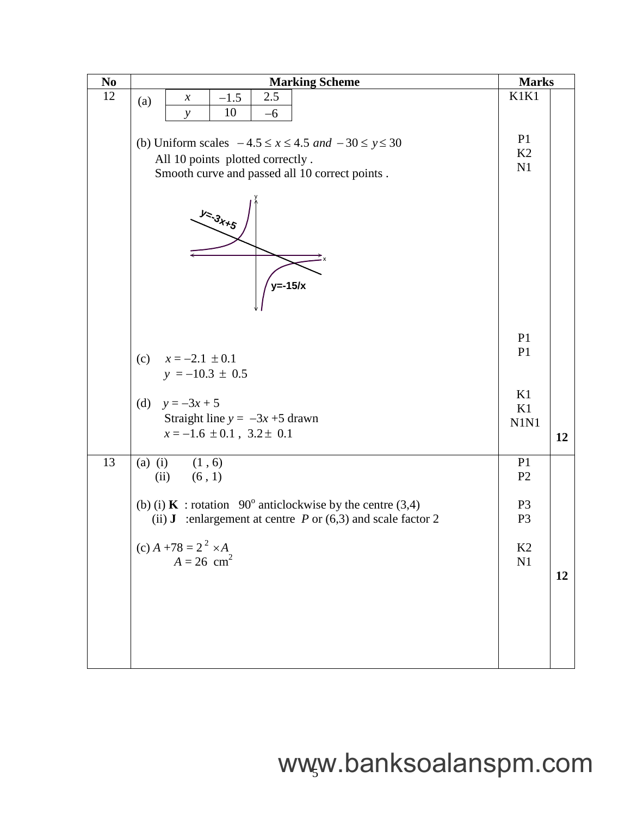| $\bf No$ | <b>Marking Scheme</b>                                                              |                                  |    |  |  |
|----------|------------------------------------------------------------------------------------|----------------------------------|----|--|--|
| 12       | 2.5<br>$-1.5$<br>$\boldsymbol{\chi}$<br>(a)                                        | K1K1                             |    |  |  |
|          | 10<br>$-6$<br>$\mathcal{Y}$                                                        |                                  |    |  |  |
|          |                                                                                    | P <sub>1</sub>                   |    |  |  |
|          | (b) Uniform scales $-4.5 \le x \le 4.5$ and $-30 \le y \le 30$                     |                                  |    |  |  |
|          | All 10 points plotted correctly.<br>Smooth curve and passed all 10 correct points. |                                  |    |  |  |
|          |                                                                                    |                                  |    |  |  |
|          | $y_{z,3}$<br>$y=-15/x$                                                             |                                  |    |  |  |
|          |                                                                                    |                                  |    |  |  |
|          |                                                                                    | P <sub>1</sub><br>P <sub>1</sub> |    |  |  |
|          | (c)<br>$x = -2.1 \pm 0.1$                                                          |                                  |    |  |  |
|          | $y = -10.3 \pm 0.5$                                                                |                                  |    |  |  |
|          | (d) $y = -3x + 5$                                                                  | K1                               |    |  |  |
|          | Straight line $y = -3x + 5$ drawn                                                  | K1<br>N1N1                       |    |  |  |
|          | $x = -1.6 \pm 0.1$ , $3.2 \pm 0.1$                                                 |                                  |    |  |  |
|          |                                                                                    |                                  | 12 |  |  |
| 13       | $(a)$ (i)<br>(1, 6)                                                                | P <sub>1</sub><br>P <sub>2</sub> |    |  |  |
|          | (6, 1)<br>(ii)                                                                     |                                  |    |  |  |
|          | (b) (i) <b>K</b> : rotation $90^\circ$ anticlockwise by the centre (3,4)           | P <sub>3</sub>                   |    |  |  |
|          | (ii) <b>J</b> :enlargement at centre $P$ or (6,3) and scale factor 2               | P <sub>3</sub>                   |    |  |  |
|          | (c) $A + 78 = 2^2 \times A$                                                        | K2                               |    |  |  |
|          | $A = 26$ cm <sup>2</sup>                                                           | N1                               |    |  |  |
|          |                                                                                    |                                  | 12 |  |  |
|          |                                                                                    |                                  |    |  |  |
|          |                                                                                    |                                  |    |  |  |
|          |                                                                                    |                                  |    |  |  |
|          |                                                                                    |                                  |    |  |  |
|          |                                                                                    |                                  |    |  |  |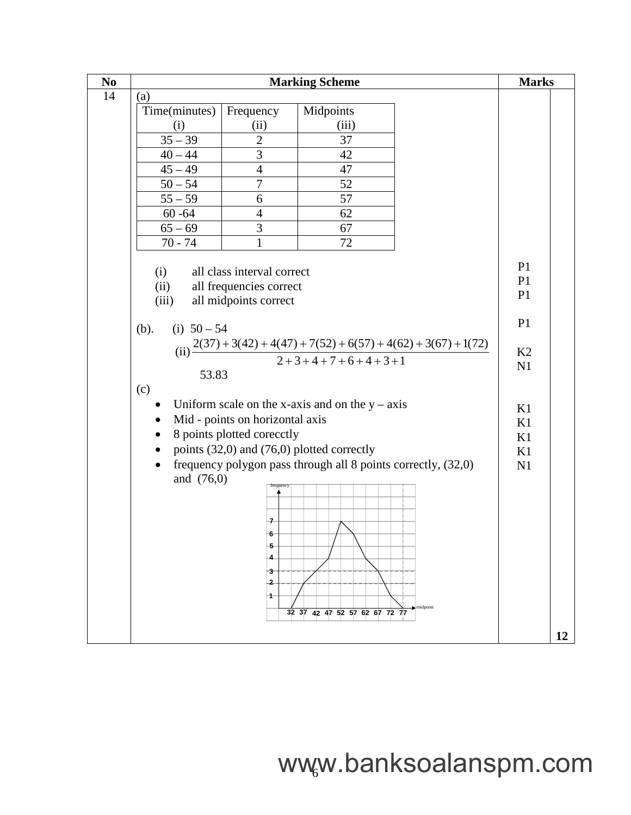| N <sub>0</sub> | <b>Marking Scheme</b>                             |                            |                                                                                                            |                | <b>Marks</b> |  |
|----------------|---------------------------------------------------|----------------------------|------------------------------------------------------------------------------------------------------------|----------------|--------------|--|
| 14             | (a)                                               |                            |                                                                                                            |                |              |  |
|                | Time(minutes)                                     | Frequency                  | Midpoints                                                                                                  |                |              |  |
|                | (i)                                               | (ii)                       | (iii)                                                                                                      |                |              |  |
|                | $\frac{35-39}{ }$                                 | $\overline{2}$             | 37                                                                                                         |                |              |  |
|                | $40 - 44$                                         | 3                          | 42                                                                                                         |                |              |  |
|                | $45 - 49$                                         | $\overline{4}$             | 47                                                                                                         |                |              |  |
|                | $50 - 54$                                         | $\overline{7}$             | 52                                                                                                         |                |              |  |
|                | $55 - 59$                                         | 6                          | 57                                                                                                         |                |              |  |
|                | $60 - 64$                                         | $\overline{4}$             | 62                                                                                                         |                |              |  |
|                | $65 - 69$                                         | 3                          | 67                                                                                                         |                |              |  |
|                | $70 - 74$                                         | $\mathbf{1}$               | 72                                                                                                         |                |              |  |
|                |                                                   |                            |                                                                                                            | P <sub>1</sub> |              |  |
|                | (i)                                               | all class interval correct |                                                                                                            | P <sub>1</sub> |              |  |
|                | (ii)                                              | all frequencies correct    |                                                                                                            | P <sub>1</sub> |              |  |
|                | (iii)                                             | all midpoints correct      |                                                                                                            |                |              |  |
|                | (i) $50 - 54$<br>(b).                             |                            |                                                                                                            | P <sub>1</sub> |              |  |
|                |                                                   |                            |                                                                                                            |                |              |  |
|                |                                                   |                            | (ii) $\frac{2(37) + 3(42) + 4(47) + 7(52) + 6(57) + 4(62) + 3(67) + 1(72)}{2 + 3 + 4 + 7 + 6 + 4 + 3 + 1}$ | K2             |              |  |
|                | 53.83                                             |                            |                                                                                                            | N1             |              |  |
|                | (c)                                               |                            |                                                                                                            |                |              |  |
|                | Uniform scale on the x-axis and on the $y - axis$ |                            |                                                                                                            |                |              |  |
|                | Mid - points on horizontal axis                   |                            |                                                                                                            |                |              |  |
|                | 8 points plotted corecctly                        |                            |                                                                                                            |                |              |  |
|                |                                                   |                            | points (32,0) and (76,0) plotted correctly                                                                 | K1<br>K1       |              |  |
|                | $\bullet$                                         |                            | frequency polygon pass through all 8 points correctly, (32,0)                                              | N1             |              |  |
|                | and $(76,0)$                                      | frequency                  |                                                                                                            |                |              |  |
|                |                                                   |                            |                                                                                                            |                |              |  |
|                |                                                   |                            |                                                                                                            |                |              |  |
|                |                                                   | 7                          |                                                                                                            |                |              |  |
|                |                                                   | 5                          |                                                                                                            |                |              |  |
|                |                                                   |                            |                                                                                                            |                |              |  |
|                |                                                   | 3                          |                                                                                                            |                |              |  |
|                |                                                   | $\mathbf{2}$               |                                                                                                            |                |              |  |
|                |                                                   | 1                          |                                                                                                            |                |              |  |
|                |                                                   |                            | midpoint<br>32 37 42 47 52 57 62 67 72 77                                                                  |                |              |  |
|                |                                                   |                            |                                                                                                            |                | 12           |  |
|                |                                                   |                            |                                                                                                            |                |              |  |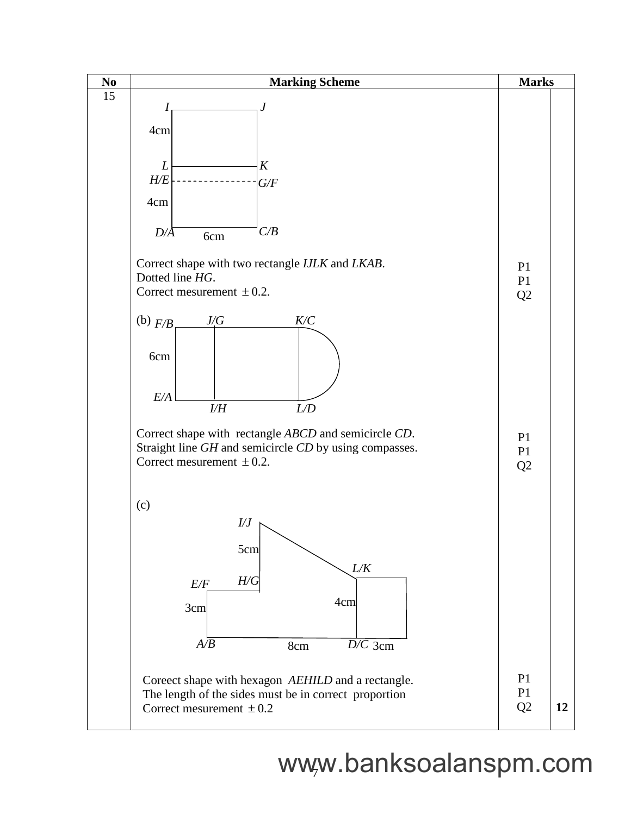